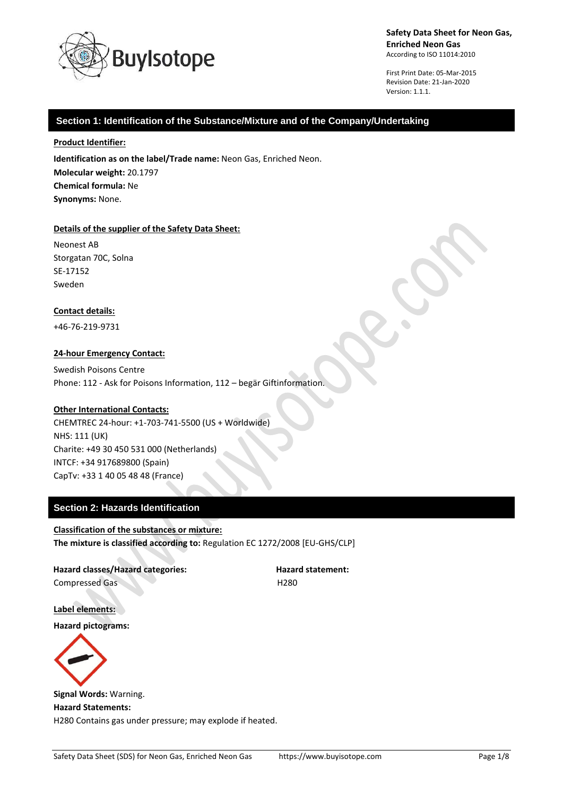

First Print Date: 05-Mar-2015 Revision Date: 21-Jan-2020 Version: 1.1.1.

# **Section 1: Identification of the Substance/Mixture and of the Company/Undertaking**

### **Product Identifier:**

**Identification as on the label/Trade name:** Neon Gas, Enriched Neon. **Molecular weight:** 20.1797 **Chemical formula:** Ne **Synonyms:** None.

### **Details of the supplier of the Safety Data Sheet:**

Neonest AB Storgatan 70C, Solna SE-17152 Sweden

#### **Contact details:**

+46-76-219-9731

### **24-hour Emergency Contact:**

Swedish Poisons Centre Phone: 112 - Ask for Poisons Information, 112 – begär Giftinformation.

### **Other International Contacts:**

CHEMTREC 24-hour: +1-703-741-5500 (US + Worldwide) NHS: 111 (UK) Charite: +49 30 450 531 000 (Netherlands) INTCF: +34 917689800 (Spain) CapTv: +33 1 40 05 48 48 (France)

# **Section 2: Hazards Identification**

#### **Classification of the substances or mixture:**

**The mixture is classified according to:** Regulation EC 1272/2008 [EU-GHS/CLP]

**Hazard classes/Hazard categories: Hazard statement:** Compressed Gas H280

**Label elements:**

**Hazard pictograms:**



**Signal Words:** Warning. **Hazard Statements:** H280 Contains gas under pressure; may explode if heated.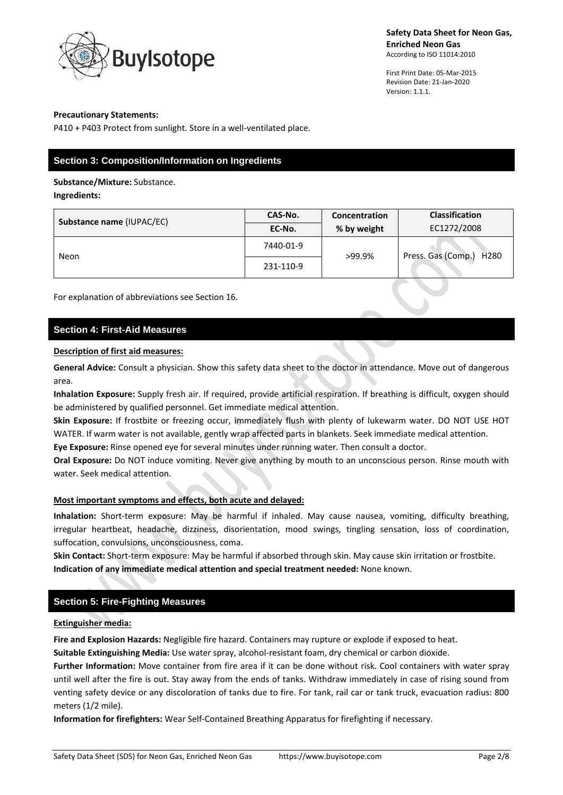

First Print Date: 05-Mar-2015 Revision Date: 21-Jan-2020 Version: 1.1.1.

### **Precautionary Statements:**

P410 + P403 Protect from sunlight. Store in a well-ventilated place.

# **Section 3: Composition/Information on Ingredients**

**Substance/Mixture:** Substance.

**Ingredients:**

| Substance name (IUPAC/EC) | CAS-No.   | Concentration | <b>Classification</b>                  |
|---------------------------|-----------|---------------|----------------------------------------|
|                           | EC-No.    | % by weight   | EC1272/2008                            |
| Neon                      | 7440-01-9 | >99.9%        | Press. Gas (Comp.)<br>H <sub>280</sub> |
|                           | 231-110-9 |               |                                        |

For explanation of abbreviations see Section 16.

## **Section 4: First-Aid Measures**

### **Description of first aid measures:**

**General Advice:** Consult a physician. Show this safety data sheet to the doctor in attendance. Move out of dangerous area.

**Inhalation Exposure:** Supply fresh air. If required, provide artificial respiration. If breathing is difficult, oxygen should be administered by qualified personnel. Get immediate medical attention.

**Skin Exposure:** If frostbite or freezing occur, immediately flush with plenty of lukewarm water. DO NOT USE HOT WATER. If warm water is not available, gently wrap affected parts in blankets. Seek immediate medical attention.

**Eye Exposure:** Rinse opened eye for several minutes under running water. Then consult a doctor.

**Oral Exposure:** Do NOT induce vomiting. Never give anything by mouth to an unconscious person. Rinse mouth with water. Seek medical attention.

### **Most important symptoms and effects, both acute and delayed:**

**Inhalation:** Short-term exposure: May be harmful if inhaled. May cause nausea, vomiting, difficulty breathing, irregular heartbeat, headache, dizziness, disorientation, mood swings, tingling sensation, loss of coordination, suffocation, convulsions, unconsciousness, coma.

**Skin Contact:** Short-term exposure: May be harmful if absorbed through skin. May cause skin irritation or frostbite. **Indication of any immediate medical attention and special treatment needed:** None known.

## **Section 5: Fire-Fighting Measures**

### **Extinguisher media:**

**Fire and Explosion Hazards:** Negligible fire hazard. Containers may rupture or explode if exposed to heat.

**Suitable Extinguishing Media:** Use water spray, alcohol-resistant foam, dry chemical or carbon dioxide.

Further Information: Move container from fire area if it can be done without risk. Cool containers with water spray until well after the fire is out. Stay away from the ends of tanks. Withdraw immediately in case of rising sound from venting safety device or any discoloration of tanks due to fire. For tank, rail car or tank truck, evacuation radius: 800 meters (1/2 mile).

**Information for firefighters:** Wear Self-Contained Breathing Apparatus for firefighting if necessary.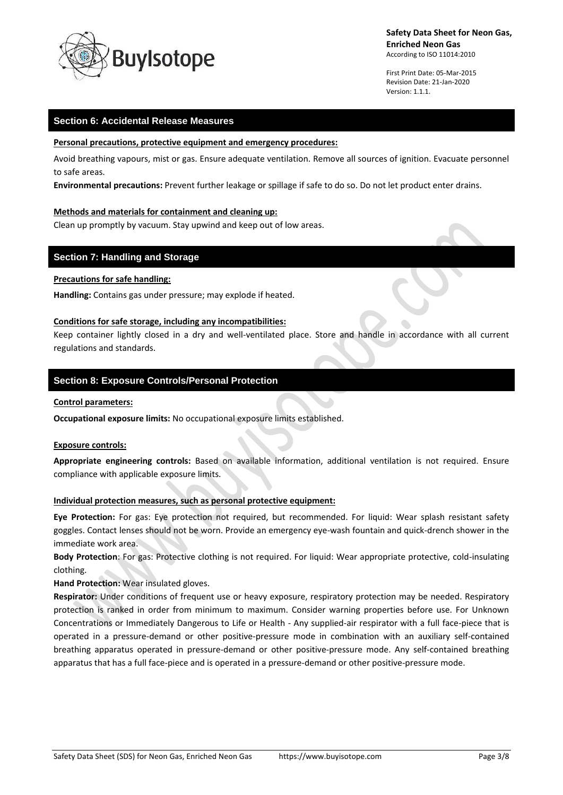

First Print Date: 05-Mar-2015 Revision Date: 21-Jan-2020 Version: 1.1.1.

## **Section 6: Accidental Release Measures**

#### **Personal precautions, protective equipment and emergency procedures:**

Avoid breathing vapours, mist or gas. Ensure adequate ventilation. Remove all sources of ignition. Evacuate personnel to safe areas.

**Environmental precautions:** Prevent further leakage or spillage if safe to do so. Do not let product enter drains.

#### **Methods and materials for containment and cleaning up:**

Clean up promptly by vacuum. Stay upwind and keep out of low areas.

### **Section 7: Handling and Storage**

### **Precautions for safe handling:**

**Handling:** Contains gas under pressure; may explode if heated.

#### **Conditions for safe storage, including any incompatibilities:**

Keep container lightly closed in a dry and well-ventilated place. Store and handle in accordance with all current regulations and standards.

### **Section 8: Exposure Controls/Personal Protection**

#### **Control parameters:**

**Occupational exposure limits:** No occupational exposure limits established.

#### **Exposure controls:**

**Appropriate engineering controls:** Based on available information, additional ventilation is not required. Ensure compliance with applicable exposure limits.

### **Individual protection measures, such as personal protective equipment:**

**Eye Protection:** For gas: Eye protection not required, but recommended. For liquid: Wear splash resistant safety goggles. Contact lenses should not be worn. Provide an emergency eye-wash fountain and quick-drench shower in the immediate work area.

**Body Protection**: For gas: Protective clothing is not required. For liquid: Wear appropriate protective, cold-insulating clothing.

**Hand Protection:** Wear insulated gloves.

**Respirator:** Under conditions of frequent use or heavy exposure, respiratory protection may be needed. Respiratory protection is ranked in order from minimum to maximum. Consider warning properties before use. For Unknown Concentrations or Immediately Dangerous to Life or Health - Any supplied-air respirator with a full face-piece that is operated in a pressure-demand or other positive-pressure mode in combination with an auxiliary self-contained breathing apparatus operated in pressure-demand or other positive-pressure mode. Any self-contained breathing apparatus that has a full face-piece and is operated in a pressure-demand or other positive-pressure mode.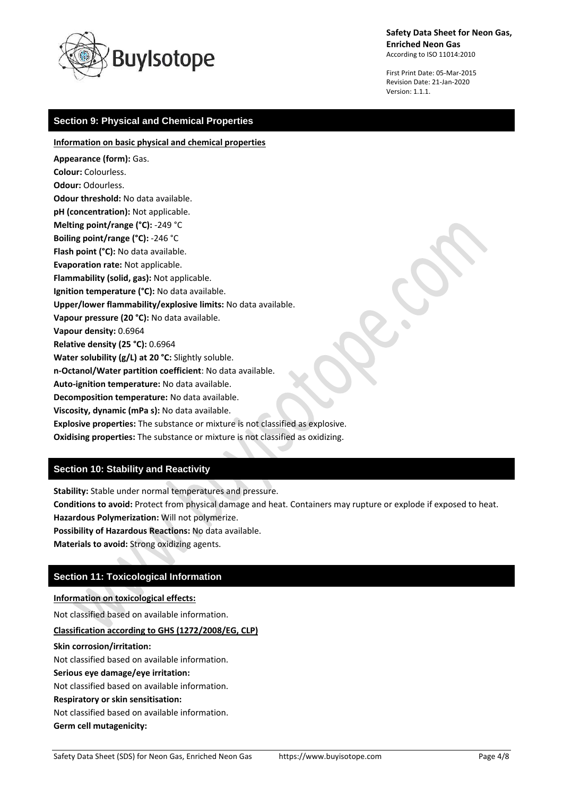

First Print Date: 05-Mar-2015 Revision Date: 21-Jan-2020 Version: 1.1.1.

# **Section 9: Physical and Chemical Properties**

**Information on basic physical and chemical properties**

**Appearance (form):** Gas. **Colour:** Colourless. **Odour:** Odourless. **Odour threshold:** No data available. **pH (concentration):** Not applicable. **Melting point/range (°C):** -249 °C **Boiling point/range (°C):** -246 °C **Flash point (°C):** No data available. **Evaporation rate:** Not applicable. **Flammability (solid, gas):** Not applicable. **Ignition temperature (°C):** No data available. **Upper/lower flammability/explosive limits:** No data available. **Vapour pressure (20 °C):** No data available. **Vapour density:** 0.6964 **Relative density (25 °C):** 0.6964 **Water solubility (g/L) at 20 °C:** Slightly soluble. **n-Octanol/Water partition coefficient**: No data available. **Auto-ignition temperature:** No data available. **Decomposition temperature:** No data available. **Viscosity, dynamic (mPa s):** No data available. **Explosive properties:** The substance or mixture is not classified as explosive.

**Oxidising properties:** The substance or mixture is not classified as oxidizing.

## **Section 10: Stability and Reactivity**

**Stability:** Stable under normal temperatures and pressure.

**Conditions to avoid:** Protect from physical damage and heat. Containers may rupture or explode if exposed to heat. **Hazardous Polymerization:** Will not polymerize.

**Possibility of Hazardous Reactions:** No data available.

**Materials to avoid:** Strong oxidizing agents.

## **Section 11: Toxicological Information**

### **Information on toxicological effects:**

Not classified based on available information.

### **Classification according to GHS (1272/2008/EG, CLP)**

### **Skin corrosion/irritation:**

Not classified based on available information.

### **Serious eye damage/eye irritation:**

Not classified based on available information.

### **Respiratory or skin sensitisation:**

Not classified based on available information.

**Germ cell mutagenicity:**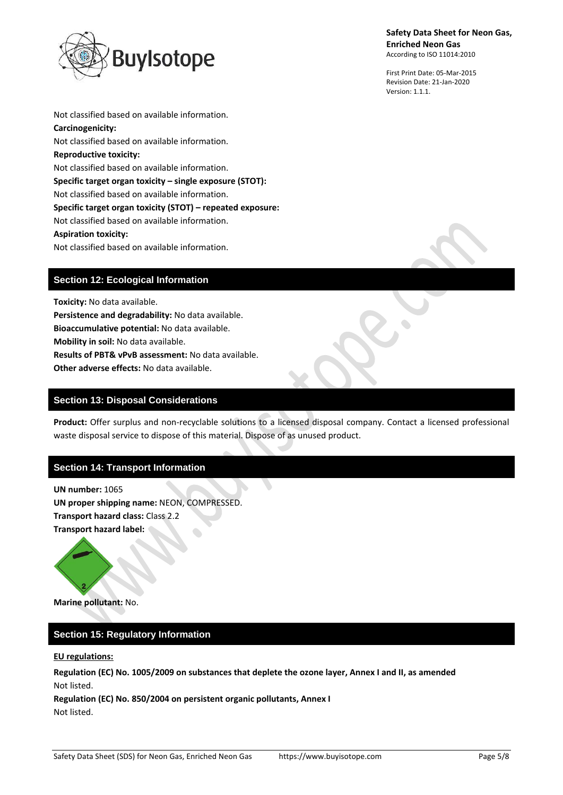

First Print Date: 05-Mar-2015 Revision Date: 21-Jan-2020 Version: 1.1.1.

Not classified based on available information. **Carcinogenicity:** Not classified based on available information. **Reproductive toxicity:** Not classified based on available information. **Specific target organ toxicity – single exposure (STOT):** Not classified based on available information. **Specific target organ toxicity (STOT) – repeated exposure:** Not classified based on available information. **Aspiration toxicity:** Not classified based on available information.

# **Section 12: Ecological Information**

**Toxicity:** No data available. **Persistence and degradability:** No data available. **Bioaccumulative potential:** No data available. **Mobility in soil:** No data available. **Results of PBT& vPvB assessment:** No data available. **Other adverse effects:** No data available.

## **Section 13: Disposal Considerations**

**Product:** Offer surplus and non-recyclable solutions to a licensed disposal company. Contact a licensed professional waste disposal service to dispose of this material. Dispose of as unused product.

## **Section 14: Transport Information**

**UN number:** 1065 **UN proper shipping name:** NEON, COMPRESSED. **Transport hazard class:** Class 2.2 **Transport hazard label:**



**Marine pollutant:** No.

# **Section 15: Regulatory Information**

#### **EU regulations:**

**Regulation (EC) No. 1005/2009 on substances that deplete the ozone layer, Annex I and II, as amended** Not listed.

**Regulation (EC) No. 850/2004 on persistent organic pollutants, Annex I** Not listed.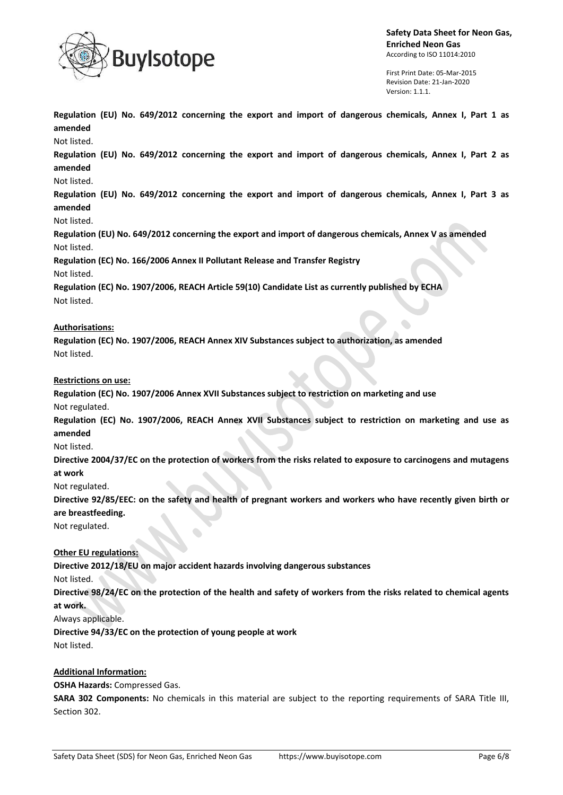

First Print Date: 05-Mar-2015 Revision Date: 21-Jan-2020 Version: 1.1.1.

**Regulation (EU) No. 649/2012 concerning the export and import of dangerous chemicals, Annex I, Part 1 as amended**

Not listed.

**Regulation (EU) No. 649/2012 concerning the export and import of dangerous chemicals, Annex I, Part 2 as amended**

### Not listed.

**Regulation (EU) No. 649/2012 concerning the export and import of dangerous chemicals, Annex I, Part 3 as amended**

Not listed.

**Regulation (EU) No. 649/2012 concerning the export and import of dangerous chemicals, Annex V as amended** Not listed.

**Regulation (EC) No. 166/2006 Annex II Pollutant Release and Transfer Registry**

Not listed.

**Regulation (EC) No. 1907/2006, REACH Article 59(10) Candidate List as currently published by ECHA** Not listed.

### **Authorisations:**

**Regulation (EC) No. 1907/2006, REACH Annex XIV Substances subject to authorization, as amended** Not listed.

### **Restrictions on use:**

**Regulation (EC) No. 1907/2006 Annex XVII Substances subject to restriction on marketing and use** Not regulated.

**Regulation (EC) No. 1907/2006, REACH Annex XVII Substances subject to restriction on marketing and use as amended**

### Not listed.

**Directive 2004/37/EC on the protection of workers from the risks related to exposure to carcinogens and mutagens at work**

Not regulated.

**Directive 92/85/EEC: on the safety and health of pregnant workers and workers who have recently given birth or are breastfeeding.**

Not regulated.

## **Other EU regulations:**

**Directive 2012/18/EU on major accident hazards involving dangerous substances** Not listed.

**Directive 98/24/EC on the protection of the health and safety of workers from the risks related to chemical agents at work.**

Always applicable.

**Directive 94/33/EC on the protection of young people at work** Not listed.

## **Additional Information:**

**OSHA Hazards:** Compressed Gas.

**SARA 302 Components:** No chemicals in this material are subject to the reporting requirements of SARA Title III, Section 302.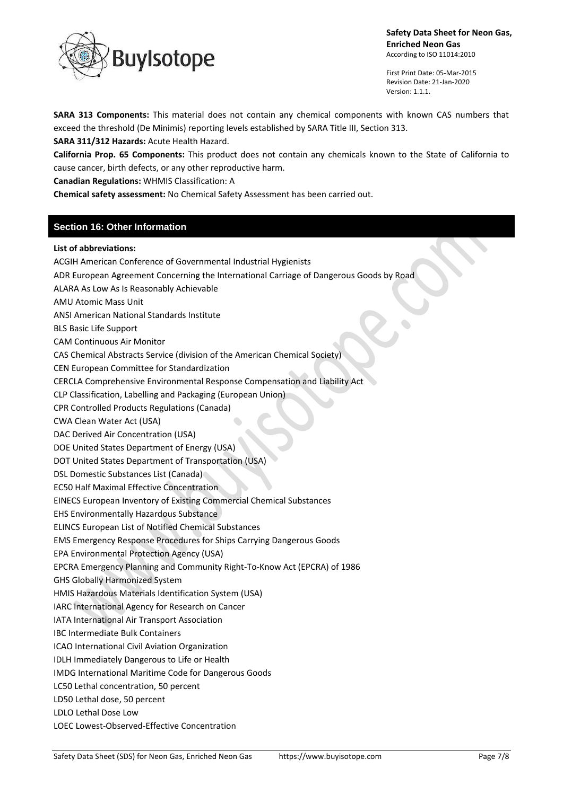

First Print Date: 05-Mar-2015 Revision Date: 21-Jan-2020 Version: 1.1.1.

**SARA 313 Components:** This material does not contain any chemical components with known CAS numbers that exceed the threshold (De Minimis) reporting levels established by SARA Title III, Section 313.

**SARA 311/312 Hazards:** Acute Health Hazard.

**California Prop. 65 Components:** This product does not contain any chemicals known to the State of California to cause cancer, birth defects, or any other reproductive harm.

**Canadian Regulations:** WHMIS Classification: A

**Chemical safety assessment:** No Chemical Safety Assessment has been carried out.

## **Section 16: Other Information**

### **List of abbreviations:**

ACGIH American Conference of Governmental Industrial Hygienists ADR European Agreement Concerning the International Carriage of Dangerous Goods by Road ALARA As Low As Is Reasonably Achievable AMU Atomic Mass Unit ANSI American National Standards Institute BLS Basic Life Support CAM Continuous Air Monitor CAS Chemical Abstracts Service (division of the American Chemical Society) CEN European Committee for Standardization CERCLA Comprehensive Environmental Response Compensation and Liability Act

CLP Classification, Labelling and Packaging (European Union)

CPR Controlled Products Regulations (Canada)

CWA Clean Water Act (USA)

DAC Derived Air Concentration (USA)

DOE United States Department of Energy (USA)

DOT United States Department of Transportation (USA)

DSL Domestic Substances List (Canada)

EC50 Half Maximal Effective Concentration

EINECS European Inventory of Existing Commercial Chemical Substances

EHS Environmentally Hazardous Substance

ELINCS European List of Notified Chemical Substances

EMS Emergency Response Procedures for Ships Carrying Dangerous Goods

EPA Environmental Protection Agency (USA)

EPCRA Emergency Planning and Community Right-To-Know Act (EPCRA) of 1986

GHS Globally Harmonized System

HMIS Hazardous Materials Identification System (USA)

IARC International Agency for Research on Cancer

IATA International Air Transport Association

IBC Intermediate Bulk Containers

ICAO International Civil Aviation Organization

IDLH Immediately Dangerous to Life or Health

IMDG International Maritime Code for Dangerous Goods

LC50 Lethal concentration, 50 percent

LD50 Lethal dose, 50 percent

LDLO Lethal Dose Low

LOEC Lowest-Observed-Effective Concentration